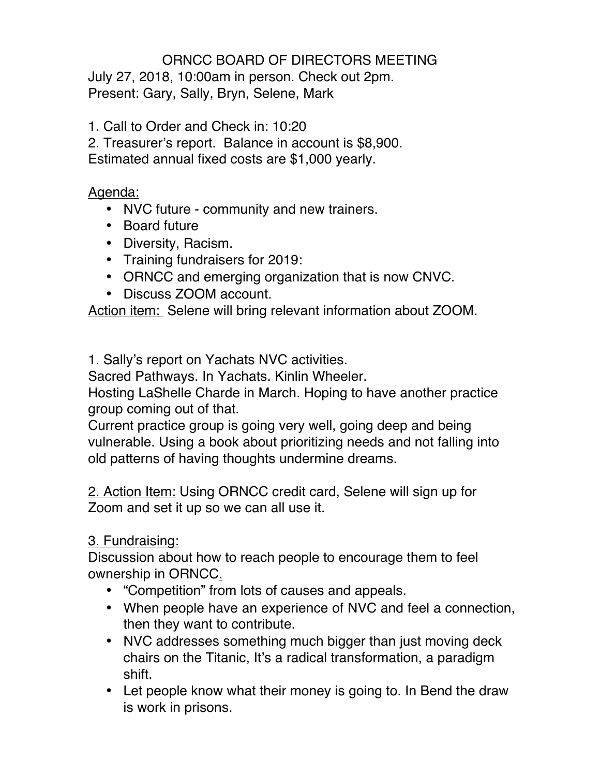## ORNCC BOARD OF DIRECTORS MEETING

July 27, 2018, 10:00am in person. Check out 2pm. Present: Gary, Sally, Bryn, Selene, Mark

1. Call to Order and Check in: 10:20

2. Treasurer's report. Balance in account is \$8,900. Estimated annual fixed costs are \$1,000 yearly.

Agenda:

- NVC future community and new trainers.
- Board future
- Diversity, Racism.
- Training fundraisers for 2019:
- ORNCC and emerging organization that is now CNVC.
- Discuss ZOOM account.

Action item: Selene will bring relevant information about ZOOM.

1. Sally's report on Yachats NVC activities.

Sacred Pathways. In Yachats. Kinlin Wheeler.

Hosting LaShelle Charde in March. Hoping to have another practice group coming out of that.

Current practice group is going very well, going deep and being vulnerable. Using a book about prioritizing needs and not falling into old patterns of having thoughts undermine dreams.

2. Action Item: Using ORNCC credit card, Selene will sign up for Zoom and set it up so we can all use it.

## 3. Fundraising:

Discussion about how to reach people to encourage them to feel ownership in ORNCC.

- "Competition" from lots of causes and appeals.
- When people have an experience of NVC and feel a connection, then they want to contribute.
- NVC addresses something much bigger than just moving deck chairs on the Titanic, It's a radical transformation, a paradigm shift.
- Let people know what their money is going to. In Bend the draw is work in prisons.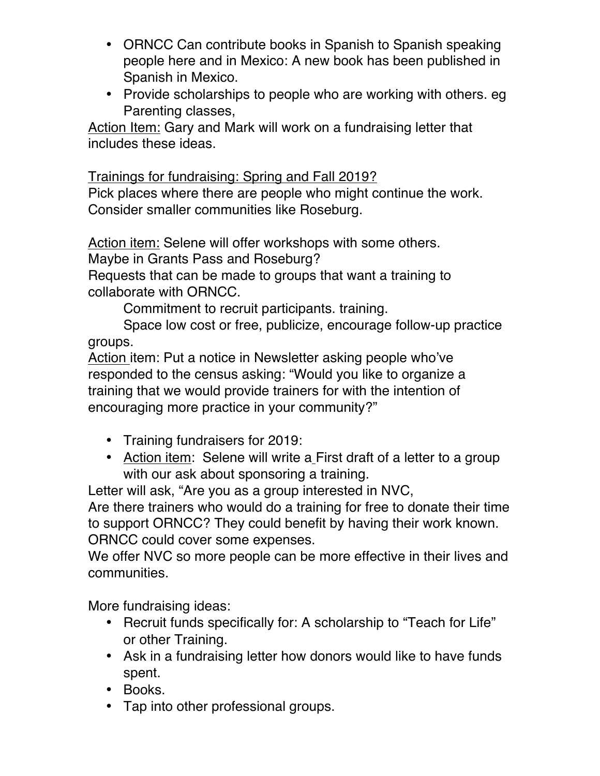- ORNCC Can contribute books in Spanish to Spanish speaking people here and in Mexico: A new book has been published in Spanish in Mexico.
- Provide scholarships to people who are working with others. eg Parenting classes,

Action Item: Gary and Mark will work on a fundraising letter that includes these ideas.

Trainings for fundraising: Spring and Fall 2019?

Pick places where there are people who might continue the work. Consider smaller communities like Roseburg.

Action item: Selene will offer workshops with some others.

Maybe in Grants Pass and Roseburg?

Requests that can be made to groups that want a training to collaborate with ORNCC.

Commitment to recruit participants. training.

Space low cost or free, publicize, encourage follow-up practice groups.

Action item: Put a notice in Newsletter asking people who've responded to the census asking: "Would you like to organize a training that we would provide trainers for with the intention of encouraging more practice in your community?"

- Training fundraisers for 2019:
- Action item: Selene will write a First draft of a letter to a group with our ask about sponsoring a training.

Letter will ask, "Are you as a group interested in NVC,

Are there trainers who would do a training for free to donate their time to support ORNCC? They could benefit by having their work known. ORNCC could cover some expenses.

We offer NVC so more people can be more effective in their lives and communities.

More fundraising ideas:

- Recruit funds specifically for: A scholarship to "Teach for Life" or other Training.
- Ask in a fundraising letter how donors would like to have funds spent.
- Books.
- Tap into other professional groups.